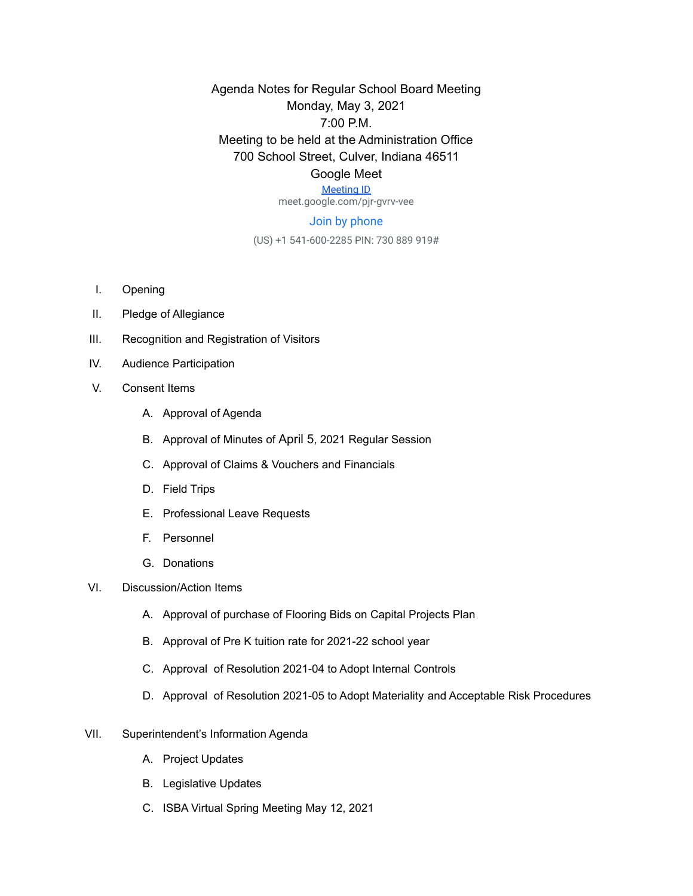Agenda Notes for Regular School Board Meeting Monday, May 3, 2021 7:00 P.M. Meeting to be held at the Administration Office 700 School Street, Culver, Indiana 46511 Google Meet

## [Meeting ID](https://meet.google.com/pjr-gvrv-vee)

meet.google.com/pjr-gvrv-vee

## Join by phone

(US) +1 541-600-2285 PIN: 730 889 919#

- I. Opening
- II. Pledge of Allegiance
- III. Recognition and Registration of Visitors
- IV. Audience Participation
- V. Consent Items
	- A. Approval of Agenda
	- B. Approval of Minutes of April 5, 2021 Regular Session
	- C. Approval of Claims & Vouchers and Financials
	- D. Field Trips
	- E. Professional Leave Requests
	- F. Personnel
	- G. Donations
- VI. Discussion/Action Items
	- A. Approval of purchase of Flooring Bids on Capital Projects Plan
	- B. Approval of Pre K tuition rate for 2021-22 school year
	- C. Approval of Resolution 2021-04 to Adopt Internal Controls
	- D. Approval of Resolution 2021-05 to Adopt Materiality and Acceptable Risk Procedures
- VII. Superintendent's Information Agenda
	- A. Project Updates
	- B. Legislative Updates
	- C. ISBA Virtual Spring Meeting May 12, 2021